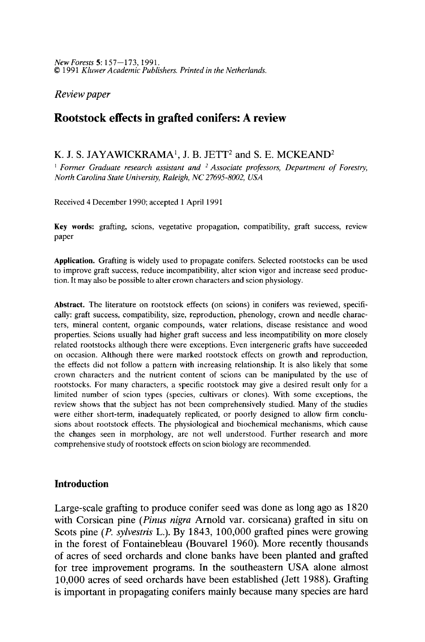New Forests 5: 157-173, 1991. © 1991 Kluwer Academic Publishers. Printed in the Netherlands.

### Review paper

# Rootstock effects in grafted conifers: A review

### K. J. S. JAYAWICKRAMA<sup>1</sup>, J. B. JETT<sup>2</sup> and S. E. MCKEAND<sup>2</sup>

Former Graduate research assistant and <sup>2</sup> Associate professors, Department of Forestry, North Carolina State University, Raleigh, NC 27695-8002, USA

Received 4 December 1990; accepted 1 April 1991

Key words: grafting, scions, vegetative propagation, compatibility, graft success, review paper

Application. Grafting is widely used to propagate conifers. Selected rootstocks can be used to improve graft success, reduce incompatibility, alter scion vigor and increase seed production . It may also be possible to alter crown characters and scion physiology.

Abstract. The literature on rootstock effects (on scions) in conifers was reviewed, specifically: graft success, compatibility, size, reproduction, phenology, crown and needle characters, mineral content, organic compounds, water relations, disease resistance and wood properties . Scions usually had higher graft success and less incompatibility on more closely related rootstocks although there were exceptions. Even intergeneric grafts have succeeded on occasion. Although there were marked rootstock effects on growth and reproduction, the effects did not follow a pattern with increasing relationship . It is also likely that some crown characters and the nutrient content of scions can be manipulated by the use of rootstocks. For many characters, a specific rootstock may give a desired result only for a limited number of scion types (species, cultivars or clones) . With some exceptions, the review shows that the subject has not been comprehensively studied . Many of the studies were either short-term, inadequately replicated, or poorly designed to allow firm conclusions about rootstock effects . The physiological and biochemical mechanisms, which cause the changes seen in morphology, are not well understood . Further research and more comprehensive study of rootstock effects on scion biology are recommended .

### Introduction

Large-scale grafting to produce conifer seed was done as long ago as 1820 with Corsican pine (Pinus nigra Arnold var. corsicana) grafted in situ on Scots pine (P. sylvestris L.). By 1843, 100,000 grafted pines were growing in the forest of Fontainebleau (Bouvarel 1960). More recently thousands of acres of seed orchards and clone banks have been planted and grafted for tree improvement programs . In the southeastern USA alone almost 10,000 acres of seed orchards have been established (Jett 1988). Grafting is important in propagating conifers mainly because many species are hard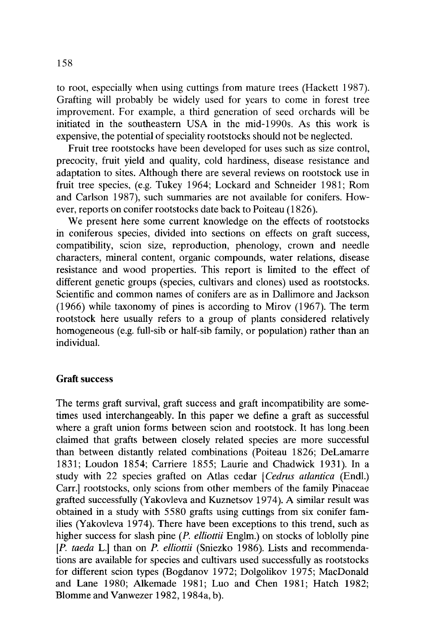to root, especially when using cuttings from mature trees (Hackett 1987) . Grafting will probably be widely used for years to come in forest tree improvement. For example, a third generation of seed orchards will be initiated in the southeastern USA in the mid-1990s . As this work is expensive, the potential of speciality rootstocks should not be neglected .

Fruit tree rootstocks have been developed for uses such as size control, precocity, fruit yield and quality, cold hardiness, disease resistance and adaptation to sites. Although there are several reviews on rootstock use in fruit tree species, (e.g. Tukey 1964; Lockard and Schneider 1981; Rom and Carlson 1987), such summaries are not available for conifers. However, reports on conifer rootstocks date back to Poiteau (1826) .

We present here some current knowledge on the effects of rootstocks in coniferous species, divided into sections on effects on graft success, compatibility, scion size, reproduction, phenology, crown and needle characters, mineral content, organic compounds, water relations, disease resistance and wood properties. This report is limited to the effect of different genetic groups (species, cultivars and clones) used as rootstocks. Scientific and common names of conifers are as in Dallimore and Jackson  $(1966)$  while taxonomy of pines is according to Mirov  $(1967)$ . The term rootstock here usually refers to a group of plants considered relatively homogeneous (e.g. full-sib or half-sib family, or population) rather than an individual.

#### Graft success

The terms graft survival, graft success and graft incompatibility are sometimes used interchangeably. In this paper we define a graft as successful where a graft union forms between scion and rootstock. It has long been claimed that grafts between closely related species are more successful than between distantly related combinations (Poiteau 1826; DeLamarre 1831; Loudon 1854; Carriere 1855; Laurie and Chadwick 1931). In a study with 22 species grafted on Atlas cedar [Cedrus atlantica (Endl.) Carr.] rootstocks, only scions from other members of the family Pinaceae grafted successfully (Yakovleva and Kuznetsov 1974) . A similar result was obtained in a study with 5580 grafts using cuttings from six conifer families (Yakovleva 1974). There have been exceptions to this trend, such as higher success for slash pine (P. elliottii Englm.) on stocks of loblolly pine [P. taeda L.] than on P. elliottii (Sniezko 1986). Lists and recommendations are available for species and cultivars used successfully as rootstocks for different scion types (Bogdanov 1972; Dolgolikov 1975; MacDonald and Lane 1980; Alkemade 1981; Luo and Chen 1981; Hatch 1982; Blomme and Vanwezer 1982, 1984a, b).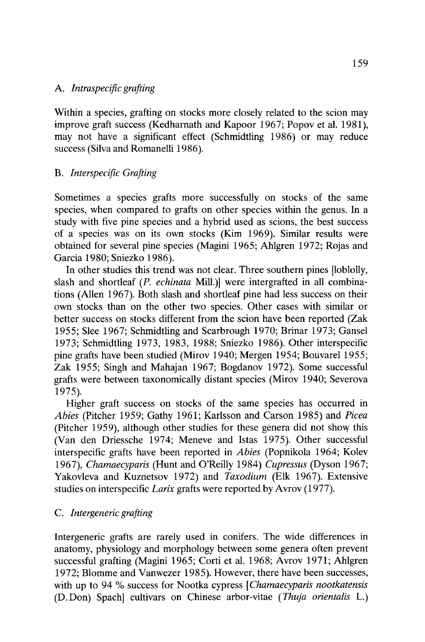### A. Intraspecific grafting

Within a species, grafting on stocks more closely related to the scion may improve graft success (Kedharnath and Kapoor 1967; Popov et al. 1981), may not have a significant effect (Schmidtling 1986) or may reduce success (Silva and Romanelli 1986).

### **B.** Interspecific Grafting

Sometimes a species grafts more successfully on stocks of the same species, when compared to grafts on other species within the genus. In a study with five pine species and a hybrid used as scions, the best success of a species was on its own stocks (Kim 1969) . Similar results were obtained for several pine species (Magini 1965; Ahlgren 1972; Rojas and Garcia 1980; Sniezko 1986).

In other studies this trend was not clear. Three southern pines [loblolly, slash and shortleaf (P. echinata Mill.)] were intergrafted in all combinations (Allen 1967). Both slash and shortleaf pine had less success on their own stocks than on the other two species . Other cases with similar or better success on stocks different from the scion have been reported (Zak 1955; Slee 1967; Schmidtling and Scarbrough 1970; Brinar 1973; Gansel 1973; Schmidtling 1973, 1983, 1988; Sniezko 1986). Other interspecific pine grafts have been studied (Mirov 1940; Mergen 1954; Bouvarel 1955; Zak 1955; Singh and Mahajan 1967; Bogdanov 1972). Some successful grafts were between taxonomically distant species (Mirov 1940; Severova 1975).

Higher graft success on stocks of the same species has occurred in Abies (Pitcher 1959; Gathy 1961; Karlsson and Carson 1985) and Picea (Pitcher 1959), although other studies for these genera did not show this (Van den Driessche 1974; Meneve and Istas 1975). Other successful interspecific grafts have been reported in *Abies* (Popnikola 1964; Kolev 1967), Chamaecyparis (Hunt and O'Reilly 1984) Cupressus (Dyson 1967; Yakovleva and Kuznetsov 1972) and Taxodium (Elk 1967). Extensive studies on interspecific *Larix* grafts were reported by Avrov (1977).

### C. Intergeneric grafting

Intergeneric grafts are rarely used in conifers. The wide differences in anatomy, physiology and morphology between some genera often prevent successful grafting (Magini 1965; Corti et al. 1968; Avrov 1971; Ahlgren 1972; Blomme and Vanwezer 1985) . However, there have been successes, with up to 94 % success for Nootka cypress [Chamaecyparis nootkatensis (D. Don) Spach] cultivars on Chinese arbor-vitae (Thuja orientalis L.)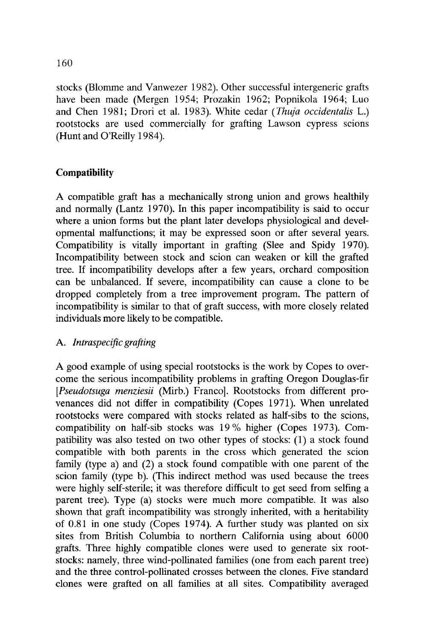stocks (Blomme and Vanwezer 1982) . Other successful intergeneric grafts have been made (Mergen 1954; Prozakin 1962; Popnikola 1964; Luo and Chen 1981; Drori et al. 1983). White cedar (Thuja occidentalis L.) rootstocks are used commercially for grafting Lawson cypress scions (Hunt and O'Reilly 1984) .

## **Compatibility**

A compatible graft has a mechanically strong union and grows healthily and normally (Lantz 1970). In this paper incompatibility is said to occur where a union forms but the plant later develops physiological and developmental malfunctions; it may be expressed soon or after several years. Compatibility is vitally important in grafting (Slee and Spidy 1970). Incompatibility between stock and scion can weaken or kill the grafted tree. If incompatibility develops after a few years, orchard composition can be unbalanced. If severe, incompatibility can cause a clone to be dropped completely from a tree improvement program. The pattern of incompatibility is similar to that of graft success, with more closely related individuals more likely to be compatible.

## A. Intraspecific grafting

A good example of using special rootstocks is the work by Copes to overcome the serious incompatibility problems in grafting Oregon Douglas-fir [Pseudotsuga menziesii (Mirb.) Franco]. Rootstocks from different provenances did not differ in compatibility (Copes 1971) . When unrelated rootstocks were compared with stocks related as half-sibs to the scions, compatibility on half-sib stocks was 19% higher (Copes 1973). Compatibility was also tested on two other types of stocks: (1) a stock found compatible with both parents in the cross which generated the scion family (type a) and (2) a stock found compatible with one parent of the scion family (type b). (This indirect method was used because the trees were highly self-sterile; it was therefore difficult to get seed from selfing a parent tree). Type (a) stocks were much more compatible. It was also shown that graft incompatibility was strongly inherited, with a heritability of 0.81 in one study (Copes 1974) . A further study was planted on six sites from British Columbia to northern California using about 6000 grafts. Three highly compatible clones were used to generate six rootstocks: namely, three wind-pollinated families (one from each parent tree) and the three control-pollinated crosses between the clones . Five standard clones were grafted on all families at all sites . Compatibility averaged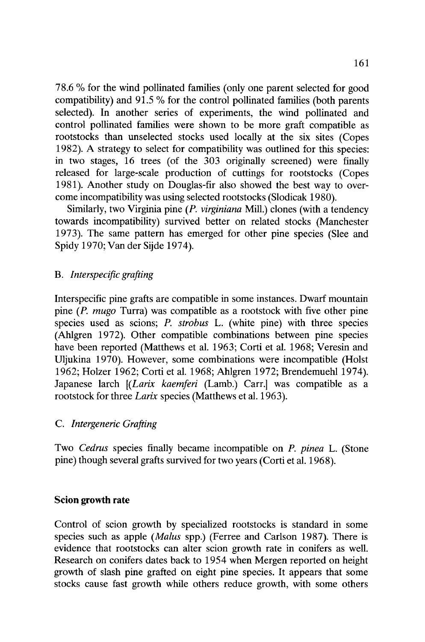78.6 % for the wind pollinated families (only one parent selected for good compatibility) and 91 .5 % for the control pollinated families (both parents selected). In another series of experiments, the wind pollinated and control pollinated families were shown to be more graft compatible as rootstocks than unselected stocks used locally at the six sites (Copes 1982). A strategy to select for compatibility was outlined for this species: in two stages, 16 trees (of the 303 originally screened) were finally released for large-scale production of cuttings for rootstocks (Copes 1981). Another study on Douglas-fir also showed the best way to overcome incompatibility was using selected rootstocks (Slodicak 1980) .

Similarly, two Virginia pine (P. virginiana Mill.) clones (with a tendency towards incompatibility) survived better on related stocks (Manchester 1973). The same pattern has emerged for other pine species (Slee and Spidy 1970; Van der Sijde 1974).

## B. Interspecific grafting

Interspecific pine grafts are compatible in some instances . Dwarf mountain pine (P. mugo Turra) was compatible as a rootstock with five other pine species used as scions;  $P$ . strobus L. (white pine) with three species (Ahlgren 1972) . Other compatible combinations between pine species have been reported (Matthews et al. 1963; Corti et al. 1968; Veresin and Uljukina 1970) . However, some combinations were incompatible (Holst 1962; Holzer 1962; Corti et al. 1968; Ahlgren 1972; Brendemuehl 1974). Japanese larch [(Larix kaemferi (Lamb.) Carr.] was compatible as a rootstock for three Larix species (Matthews et al. 1963).

### C. Intergeneric Grafting

Two *Cedrus* species finally became incompatible on *P. pinea* L. (Stone pine) though several grafts survived for two years (Corti et al. 1968) .

### Scion growth rate

Control of scion growth by specialized rootstocks is standard in some species such as apple (Malus spp.) (Ferree and Carlson 1987). There is evidence that rootstocks can alter scion growth rate in conifers as well. Research on conifers dates back to 1954 when Mergen reported on height growth of slash pine grafted on eight pine species . It appears that some stocks cause fast growth while others reduce growth, with some others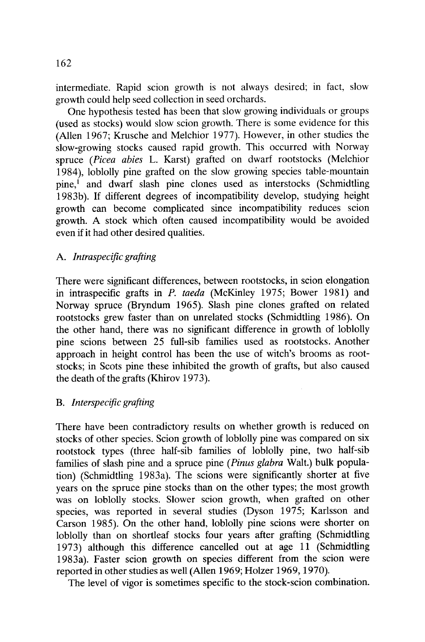intermediate. Rapid scion growth is not always desired; in fact, slow growth could help seed collection in seed orchards .

One hypothesis tested has been that slow growing individuals or groups (used as stocks) would slow scion growth. There is some evidence for this (Allen 1967; Krusche and Melchior 1977). However, in other studies the slow-growing stocks caused rapid growth. This occurred with Norway spruce (Picea abies L. Karst) grafted on dwarf rootstocks (Melchior 1984), loblolly pine grafted on the slow growing species table-mountain pine, $<sup>i</sup>$  and dwarf slash pine clones used as interstocks (Schmidtling</sup> 1983b). If different degrees of incompatibility develop, studying height growth can become complicated since incompatibility reduces scion growth. A stock which often caused incompatibility would be avoided even if it had other desired qualities .

### A. Intraspecific grafting

There were significant differences, between rootstocks, in scion elongation in intraspecific grafts in P. taeda (McKinley 1975; Bower 1981) and Norway spruce (Bryndum 1965) . Slash pine clones grafted on related rootstocks grew faster than on unrelated stocks (Schmidtling 1986). On the other hand, there was no significant difference in growth of loblolly pine scions between 25 full-sib families used as rootstocks . Another approach in height control has been the use of witch's brooms as rootstocks; in Scots pine these inhibited the growth of grafts, but also caused the death of the grafts (Khirov 1973) .

### B. Interspecific grafting

There have been contradictory results on whether growth is reduced on stocks of other species. Scion growth of loblolly pine was compared on six rootstock types (three half-sib families of loblolly pine, two half-sib families of slash pine and a spruce pine (Pinus glabra Walt.) bulk population) (Schmidtling 1983a) . The scions were significantly shorter at five years on the spruce pine stocks than on the other types; the most growth was on loblolly stocks. Slower scion growth, when grafted on other species, was reported in several studies (Dyson 1975; Karlsson and Carson 1985). On the other hand, loblolly pine scions were shorter on loblolly than on shortleaf stocks four years after grafting (Schmidtling 1973) although this difference cancelled out at age 11 (Schmidtling 1983a). Faster scion growth on species different from the scion were reported in other studies as well (Allen 1969; Holzer 1969, 1970).

The level of vigor is sometimes specific to the stock-scion combination.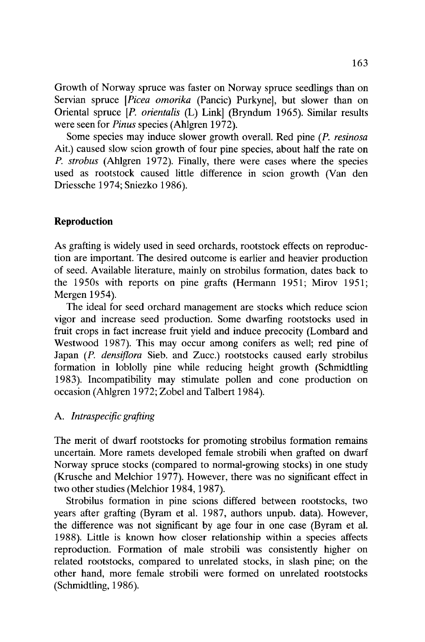Growth of Norway spruce was faster on Norway spruce seedlings than on Servian spruce [Picea omorika (Pancic) Purkyne], but slower than on Oriental spruce [P. orientalis (L) Link] (Bryndum 1965) . Similar results were seen for *Pinus* species (Ahlgren 1972).

Some species may induce slower growth overall. Red pine (P. resinosa Ait.) caused slow scion growth of four pine species, about half the rate on P. strobus (Ahlgren 1972) . Finally, there were cases where the species used as rootstock caused little difference in scion growth (Van den Driessche 1974; Sniezko 1986).

### Reproduction

As grafting is widely used in seed orchards, rootstock effects on reproduction are important. The desired outcome is earlier and heavier production of seed. Available literature, mainly on strobilus formation, dates back to the 1950s with reports on pine grafts (Hermann 1951; Mirov 1951; Mergen 1954).

The ideal for seed orchard management are stocks which reduce scion vigor and increase seed production . Some dwarfing rootstocks used in fruit crops in fact increase fruit yield and induce precocity (Lombard and Westwood 1987). This may occur among conifers as well; red pine of Japan (P. densiflora Sieb. and Zucc.) rootstocks caused early strobilus formation in loblolly pine while reducing height growth (Schmidtling 1983). Incompatibility may stimulate pollen and cone production on occasion (Ahlgren 1972; Zobel and Talbert 1984).

#### A. Intraspecific grafting

The merit of dwarf rootstocks for promoting strobilus formation remains uncertain. More ramets developed female strobili when grafted on dwarf Norway spruce stocks (compared to normal-growing stocks) in one study (Krusche and Melchior 1977) . However, there was no significant effect in two other studies (Melchior 1984, 1987).

Strobilus formation in pine scions differed between rootstocks, two years after grafting (Byram et al. 1987, authors unpub. data). However, the difference was not significant by age four in one case (Byram et al. 1988). Little is known how closer relationship within a species affects reproduction . Formation of male strobili was consistently higher on related rootstocks, compared to unrelated stocks, in slash pine; on the other hand, more female strobili were formed on unrelated rootstocks (Schmidtling, 1986).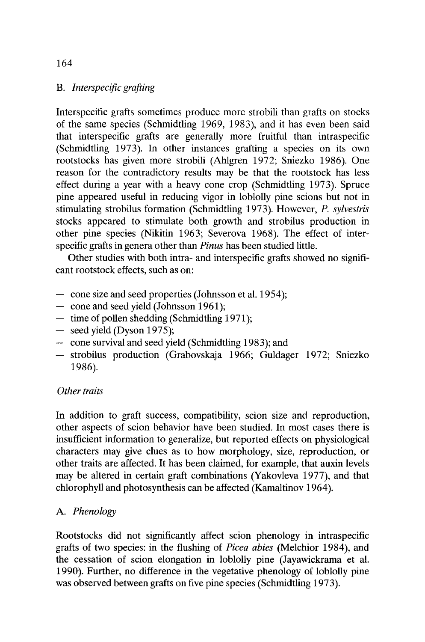## B. Interspecific grafting

Interspecific grafts sometimes produce more strobili than grafts on stocks of the same species (Schmidtling 1969, 1983), and it has even been said that interspecific grafts are generally more fruitful than intraspecific (Schmidtling 1973). In other instances grafting a species on its own rootstocks has given more strobili (Ahlgren 1972; Sniezko 1986). One reason for the contradictory results may be that the rootstock has less effect during a year with a heavy cone crop (Schmidtling 1973). Spruce pine appeared useful in reducing vigor in loblolly pine scions but not in stimulating strobilus formation (Schmidtling 1973). However, P. sylvestris stocks appeared to stimulate both growth and strobilus production in other pine species (Nikitin 1963; Severova 1968). The effect of interspecific grafts in genera other than *Pinus* has been studied little.

Other studies with both intra- and interspecific grafts showed no significant rootstock effects, such as on :

- cone size and seed properties (Johnsson et al. 1954);
- $-$  cone and seed yield (Johnsson 1961);
- $-$  time of pollen shedding (Schmidtling 1971);
- $-$  seed yield (Dyson 1975);
- cone survival and seed yield (Schmidtling 1983); and
- strobilus production (Grabovskaja 1966; Guldager 1972; Sniezko 1986).

### Other traits

In addition to graft success, compatibility, scion size and reproduction, other aspects of scion behavior have been studied. In most cases there is insufficient information to generalize, but reported effects on physiological characters may give clues as to how morphology, size, reproduction, or other traits are affected . It has been claimed, for example, that auxin levels may be altered in certain graft combinations (Yakovleva 1977), and that chlorophyll and photosynthesis can be affected (Kamaltinov 1964).

## A. Phenology

Rootstocks did not significantly affect scion phenology in intraspecific grafts of two species: in the flushing of Picea abies (Melchior 1984), and the cessation of scion elongation in loblolly pine (Jayawickrama et al. 1990). Further, no difference in the vegetative phenology of loblolly pine was observed between grafts on five pine species (Schmidtling 1973).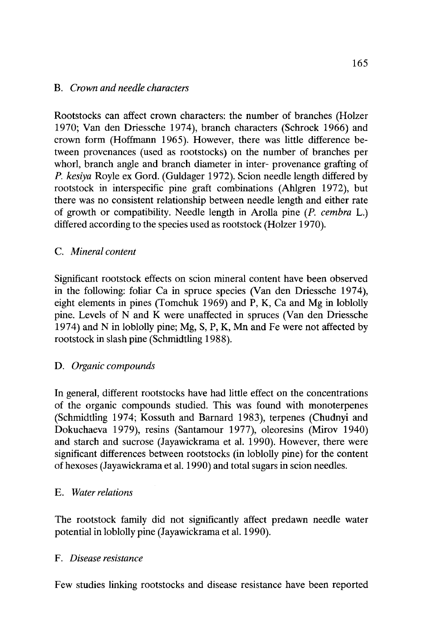## B. Crown and needle characters

Rootstocks can affect crown characters: the number of branches (Holzer 1970; Van den Driessche 1974), branch characters (Schrock 1966) and crown form (Hoffmann 1965). However, there was little difference between provenances (used as rootstocks) on the number of branches per whorl, branch angle and branch diameter in inter- provenance grafting of P. kesiya Royle ex Gord. (Guldager 1972). Scion needle length differed by rootstock in interspecific pine graft combinations (Ahlgren 1972), but there was no consistent relationship between needle length and either rate of growth or compatibility. Needle length in Arolla pine  $(P.$  cembra L.) differed according to the species used as rootstock (Holzer 1970).

## C. Mineral content

Significant rootstock effects on scion mineral content have been observed in the following: foliar Ca in spruce species (Van den Driessche 1974), eight elements in pines (Tomchuk 1969) and P, K, Ca and Mg in loblolly pine. Levels of N and K were unaffected in spruces (Van den Driessche 1974) and N in loblolly pine; Mg, S, P, K, Mn and Fe were not affected by rootstock in slash pine (Schmidtling 1988).

### D. Organic compounds

In general, different rootstocks have had little effect on the concentrations of the organic compounds studied. This was found with monoterpenes (Schmidtling 1974; Kossuth and Barnard 1983), terpenes (Chudnyi and Dokuchaeva 1979), resins (Santamour 1977), oleoresins (Mirov 1940) and starch and sucrose (Jayawickrama et al. 1990). However, there were significant differences between rootstocks (in loblolly pine) for the content of hexoses (Jayawickrama et al. 1990) and total sugars in scion needles .

### E. Water relations

The rootstock family did not significantly affect predawn needle water potential in loblolly pine (Jayawickrama et al. 1990).

### F. Disease resistance

Few studies linking rootstocks and disease resistance have been reported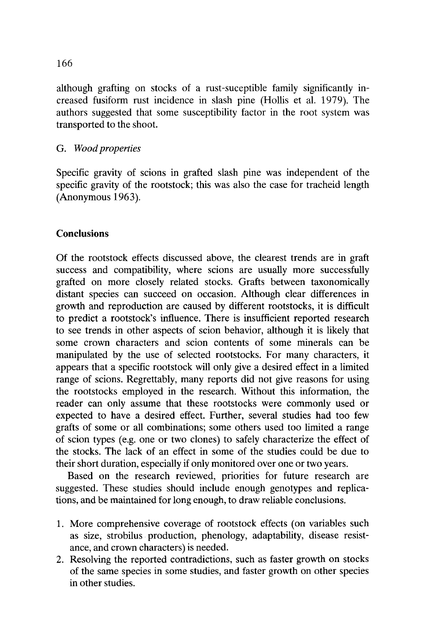although grafting on stocks of a rust-suceptible family significantly increased fusiform rust incidence in slash pine (Hollis et al. 1979). The authors suggested that some susceptibility factor in the root system was transported to the shoot.

## G. Wood properties

Specific gravity of scions in grafted slash pine was independent of the specific gravity of the rootstock; this was also the case for tracheid length (Anonymous 1963).

## **Conclusions**

Of the rootstock effects discussed above, the clearest trends are in graft success and compatibility, where scions are usually more successfully grafted on more closely related stocks . Grafts between taxonomically distant species can succeed on occasion. Although clear differences in growth and reproduction are caused by different rootstocks, it is difficult to predict a rootstock's influence. There is insufficient reported research to see trends in other aspects of scion behavior, although it is likely that some crown characters and scion contents of some minerals can be manipulated by the use of selected rootstocks . For many characters, it appears that a specific rootstock will only give a desired effect in a limited range of scions. Regrettably, many reports did not give reasons for using the rootstocks employed in the research . Without this information, the reader can only assume that these rootstocks were commonly used or expected to have a desired effect. Further, several studies had too few grafts of some or all combinations; some others used too limited a range of scion types (e.g . one or two clones) to safely characterize the effect of the stocks . The lack of an effect in some of the studies could be due to their short duration, especially if only monitored over one or two years .

Based on the research reviewed, priorities for future research are suggested. These studies should include enough genotypes and replications, and be maintained for long enough, to draw reliable conclusions .

- 1. More comprehensive coverage of rootstock effects (on variables such as size, strobilus production, phenology, adaptability, disease resistance, and crown characters) is needed .
- 2. Resolving the reported contradictions, such as faster growth on stocks of the same species in some studies, and faster growth on other species in other studies.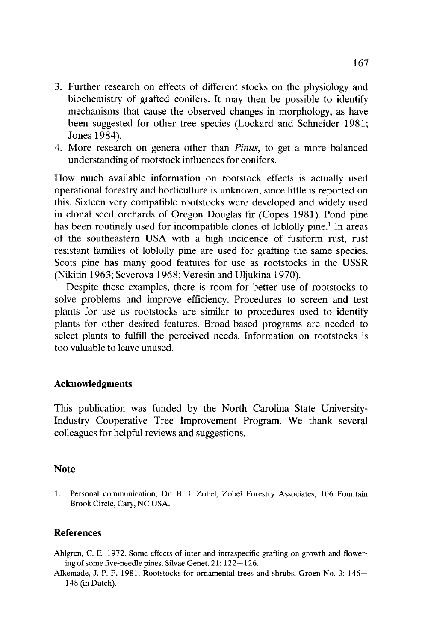- 3 . Further research on effects of different stocks on the physiology and biochemistry of grafted conifers. It may then be possible to identify mechanisms that cause the observed changes in morphology, as have been suggested for other tree species (Lockard and Schneider 1981; Jones 1984).
- 4. More research on genera other than Pinus, to get a more balanced understanding of rootstock influences for conifers .

How much available information on rootstock effects is actually used operational forestry and horticulture is unknown, since little is reported on this. Sixteen very compatible rootstocks were developed and widely used in clonal seed orchards of Oregon Douglas fir (Copes 1981) . Pond pine has been routinely used for incompatible clones of loblolly pine.<sup>1</sup> In areas of the southeastern USA with a high incidence of fusiform rust, rust resistant families of loblolly pine are used for grafting the same species. Scots pine has many good features for use as rootstocks in the USSR (Nikitin 1963; Severova 1968; Veresin and Uljukina 1970).

Despite these examples, there is room for better use of rootstocks to solve problems and improve efficiency. Procedures to screen and test plants for use as rootstocks are similar to procedures used to identify plants for other desired features . Broad-based programs are needed to select plants to fulfill the perceived needs. Information on rootstocks is too valuable to leave unused.

#### Acknowledgments

This publication was funded by the North Carolina State University-Industry Cooperative Tree Improvement Program. We thank several colleagues for helpful reviews and suggestions .

#### **Note**

1. Personal communication, Dr. B. J. Zobel, Zobel Forestry Associates, 106 Fountain Brook Circle, Cary, NC USA.

### **References**

- Ahlgren, C. E. 1972. Some effects of inter and intraspecific grafting on growth and flowering of some five-needle pines. Silvae Genet. 21: 122-126.
- Alkemade, J. P. F. 1981. Rootstocks for ornamental trees and shrubs. Groen No. 3: 146-148 (in Dutch) .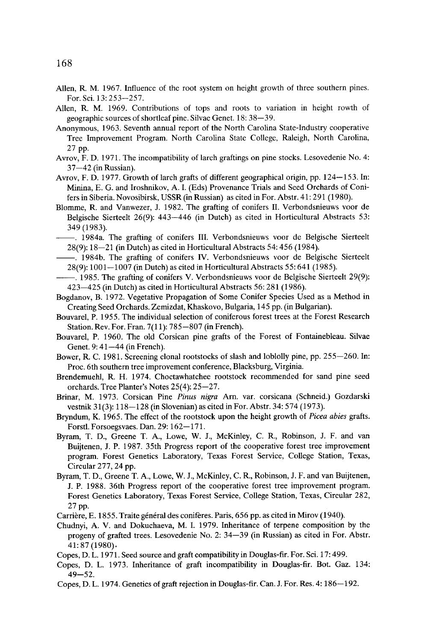- Allen, R. M. 1967. Influence of the root system on height growth of three southern pines. For. Sci. 13: 253-257.
- Allen, R. M. 1969. Contributions of tops and roots to variation in height rowth of geographic sources of shortleaf pine. Silvae Genet. 18:38-39.
- Anonymous, 1963 . Seventh annual report of the North Carolina State-Industry cooperative Tree Improvement Program. North Carolina State College, Raleigh, North Carolina, 27 pp.
- Avrov, F. D. 1971. The incompatibility of larch graftings on pine stocks. Lesovedenie No. 4: 37-42 (in Russian).
- Avrov, F. D. 1977. Growth of larch grafts of different geographical origin, pp.  $124-153$ . In: Minina, E. G. and Iroshnikov, A. I. (Eds) Provenance Trials and Seed Orchards of Conifers in Siberia. Novosibirsk, USSR (in Russian) as cited in For. Abstr. 41: 291 (1980).  $37$ <br>Avrove M<br>fer<br>Blomm<br>Bee<br>34<br>28<br>28<br>28
- Blomme, R . and Vanwezer, J . 1982 . The grafting of conifers II . Verbondsnieuws voor de Belgische Sierteelt 26(9): 443-446 (in Dutch) as cited in Horticultural Abstracts 53: 349 (1983). M<br>
M<br>
fer<br>
Blom<br>
Be<br>
34<br>
28<br>
28<br>
28<br>
42<br>
Bogd Blom<br>
Be<br>
34<br>
34<br>
28<br>
28<br>
42<br>
Bogda<br>
Cr<br>
Bouv
	- . 1984a. The grafting of conifers III . Verbondsnieuws voor de Belgische Sierteelt 28(9): 18-21 (in Dutch) as cited in Horticultural Abstracts 54 : 456 (1984) .
	- . 1984b. The grafting of conifers IV . Verbondsnieuws voor de Belgische Sierteelt  $28(9)$ : 1001-1007 (in Dutch) as cited in Horticultural Abstracts 55: 641 (1985).
	- . 1985 . The grafting of conifers V. Verbondsnieuws voor de Belgische Sierteelt 29(9) : 423-425 (in Dutch) as cited in Horticultural Abstracts 56: 281 (1986).
	- Bogdanov, B. 1972. Vegetative Propagation of Some Conifer Species Used as a Method in Creating Seed Orchards . Zemizdat, Khaskovo, Bulgaria, 145 pp . (in Bulgarian) .
	- Bouvarel, P. 1955 . The individual selection of coniferous forest trees at the Forest Research Station. Rev. For. Fran. 7(11): 785-807 (in French).
	- Bouvarel, P. 1960. The old Corsican pine grafts of the Forest of Fontainebleau. Silvae Genet. 9: 41-44 (in French).
	- Bower, R. C. 1981. Screening clonal rootstocks of slash and loblolly pine, pp. 255-260. In: Proc. 6th southern tree improvement conference, Blacksburg, Virginia.
	- Brendemuehl, R. H. 1974. Choctawhatchee rootstock recommended for sand pine seed orchards. Tree Planter's Notes 25(4): 25-27.
	- Brinar, M. 1973. Corsican Pine Pinus nigra Arn. var. corsicana (Schneid.) Gozdarski vestnik 31(3): 118-128 (in Slovenian) as cited in For. Abstr. 34: 574 (1973).
	- Bryndum, K. 1965. The effect of the rootstock upon the height growth of Picea abies grafts. Forstl. Forsoegsvaes. Dan. 29: 162-171.
	- Byram, T. D., Greene T. A., Lowe, W. J., McKinley, C. R., Robinson, J. F. and van Buijtenen, J. P. 1987. 35th Progress report of the cooperative forest tree improvement program. Forest Genetics Laboratory, Texas Forest Service, College Station, Texas, Circular 277, 24 pp.
	- Byram, T. D., Greene T. A., Lowe, W. J., McKinley, C. R., Robinson, J. F. and van Buijtenen, J. P. 1988. 36th Progress report of the cooperative forest tree improvement program. Forest Genetics Laboratory, Texas Forest Service, College Station, Texas, Circular 282, 27 pp.
	- Carrière, E. 1855. Traite général des conifères. Paris, 656 pp. as cited in Mirov (1940).
	- Chudnyi, A. V. and Dokuchaeva, M. I. 1979. Inheritance of terpene composition by the progeny of grafted trees. Lesovedenie No. 2: 34-39 (in Russian) as cited in For. Abstr. 41 : 87 (1980) .
	- Copes, D. L. 1971. Seed source and graft compatibility in Douglas-fir. For. Sci. 17: 499.
	- Copes, D. L. 1973. Inheritance of graft incompatibility in Douglas-fir. Bot. Gaz. 134:  $49 - 52.$
	- Copes, D. L. 1974. Genetics of graft rejection in Douglas-fir. Can. J. For. Res. 4: 186–192.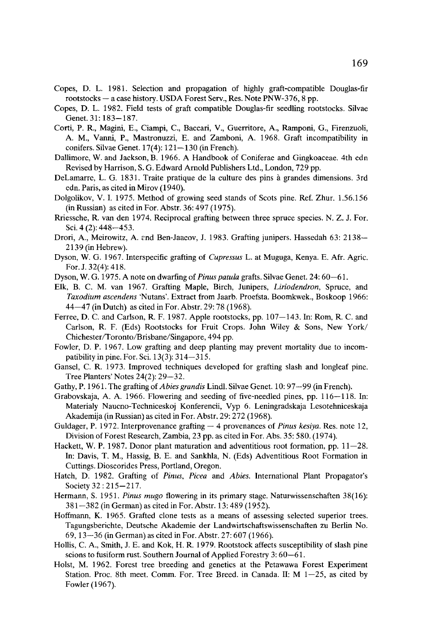- Copes, D. L. 1981. Selection and propagation of highly graft-compatible Douglas-fir rootstocks - a case history. USDA Forest Serv., Res. Note PNW-376, 8 pp.
- Copes, D. L. 1982. Field tests of graft compatible Douglas-fir seedling rootstocks. Silvae Genet. 31: 183-187.
- Corti, P. R., Magini, E., Ciampi, C., Baccari, V., Guerritore, A., Ramponi, G., Firenzuoli, A. M., Vanni, P., Mastronuzzi, E. and Zamboni, A. 1968. Graft incompatibility in conifers. Silvae Genet.  $17(4)$ :  $121-130$  (in French).
- Dallimore, W . and Jackson, B . 1966 . A Handbook of Coniferae and Gingkoaceae . 4th edn Revised by Harrison, S. G. Edward Arnold Publishers Ltd., London, 729 pp.
- DeLamarre, L. G. 1831. Traite pratique de la culture des pins à grandes dimensions. 3rd edn. Paris, as cited in Mirov (1940).
- Dolgolikov, V. I. 1975. Method of growing seed stands of Scots pine. Ref. Zhur. 1.56.156 (in Russian) as cited in For . Abstr. 36 : 497 (1975) .
- Rriessche, R. van den 1974. Reciprocal grafting between three spruce species. N. Z. J. For. Sci. 4 (2): 448-453.
- Drori, A., Meirowitz, A. and Ben-Jaacov, J. 1983. Grafting junipers. Hassedah 63: 2138-2139 (in Hebrew).
- Dyson, W. G. 1967. Interspecific grafting of *Cupressus* L. at Muguga, Kenya. E. Afr. Agric. For. J. 32(4): 418.
- Dyson, W. G. 1975. A note on dwarfing of Pinus patula grafts. Silvae Genet. 24: 60-61.
- Elk, B. C. M. van 1967. Grafting Maple, Birch, Junipers, Liriodendron, Spruce, and Taxodium ascendens 'Nutans'. Extract from Jaarb. Proefsta. Boomkwek., Boskoop 1966: 44-47 (in Dutch) as cited in For. Abstr. 29: 78 (1968).
- Ferree, D. C. and Carlson, R. F. 1987. Apple rootstocks, pp. 107-143. In: Rom, R. C. and Carlson, R. F. (Eds) Rootstocks for Fruit Crops. John Wiley & Sons, New York/ Chichester/Toronto/Brisbane/Singapore, 494 pp .
- Fowler, D. P. 1967. Low grafting and deep planting may prevent mortality due to incompatibility in pine. For. Sci.  $13(3)$ :  $314-315$ .
- Gansel, C. R. 1973. Improved techniques developed for grafting slash and longleaf pine. Tree Planters' Notes 24(2): 29–32.
- Gathy, P. 1961. The grafting of Abies grandis Lindl. Silvae Genet. 10: 97-99 (in French).
- Grabovskaja, A. A. 1966. Flowering and seeding of five-needled pines, pp. 116-118. In: Materialy Naucno-Techniceskoj Konferencii, Vyp 6. Leningradskaja Lesotehniceskaja Akademija (in Russian) as cited in For. Abstr. 29: 272 (1968).
- Guldager, P. 1972. Interprovenance grafting  $-4$  provenances of *Pinus kesiya*. Res. note 12, Division of Forest Research, Zambia, 23 pp. as cited in For. Abs. 35: 580. (1974).
- Hackett, W. P. 1987. Donor plant maturation and adventitious root formation, pp.  $11-28$ . In: Davis, T. M., Hassig, B. E. and Sankhla, N. (Eds) Adventitious Root Formation in Cuttings. Dioscorides Press, Portland, Oregon.
- Hatch, D. 1982. Grafting of Pinus, Picea and Abies. International Plant Propagator's Society 32:215-217.
- Hermann, S. 1951. Pinus mugo flowering in its primary stage. Naturwissenschaften 38(16): 381-382 (in German) as cited in For . Abstr. 13 : 489 (1952) .
- Hoffmann, K. 1965. Grafted clone tests as a means of assessing selected superior trees. Tagungsberichte, Deutsche Akademie der Landwirtschaftswissenschaften zu Berlin No . 69, 13-36 (in German) as cited in For. Abstr. 27: 607 (1966).
- Hollis, C. A., Smith, J. E. and Kok, H. R. 1979. Rootstock affects susceptibility of slash pine scions to fusiform rust. Southern Journal of Applied Forestry 3:60-61.
- Holst, M. 1962. Forest tree breeding and genetics at the Petawawa Forest Experiment Station. Proc. 8th meet. Comm. For. Tree Breed. in Canada. II:  $M$  1-25, as cited by Fowler (1967).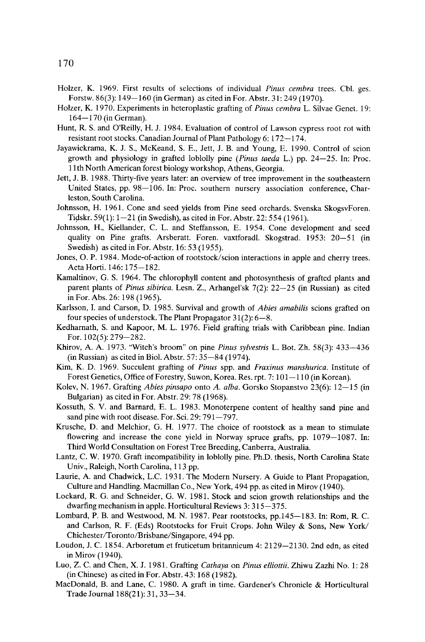- Holzer, K. 1969. First results of selections of individual *Pinus cembra* trees. Cbl. ges. Forstw. 86(3): 149-160 (in German) as cited in For. Abstr. 31: 249 (1970).
- Holzer, K. 1970. Experiments in heteroplastic grafting of *Pinus cembra* L. Silvae Genet. 19: 164-170 (in German).
- Hunt, R. S. and O'Reilly, H. J. 1984. Evaluation of control of Lawson cypress root rot with resistant root stocks. Canadian Journal of Plant Pathology  $6: 172-174$ .
- Jayawickrama, K. J. S., McKeand, S. E., Jett, J. B. and Young, E. 1990. Control of scion growth and physiology in grafted loblolly pine (Pinus taeda L.) pp. 24-25. In: Proc. 11th North American forest biology workshop, Athens, Georgia .
- Jett, J. B. 1988. Thirty-five years later: an overview of tree improvement in the southeastern United States, pp. 98-106. In: Proc. southern nursery association conference, Charleston, South Carolina.
- Johnsson, H. 1961. Cone and seed yields from Pine seed orchards. Svenska SkogsvForen. Tidskr. 59(1):  $1-21$  (in Swedish), as cited in For. Abstr. 22: 554 (1961).
- Johnsson, H., Kiellander, C. L. and Steffansson, E. 1954. Cone development and seed quality on Pine grafts. Arsberatt. Foren. vaxtforadl. Skogstrad. 1953: 20-51 (in Swedish) as cited in For. Abstr. 16: 53 (1955).
- Jones, O. P. 1984. Mode-of-action of rootstock/scion interactions in apple and cherry trees. Acta Horti. 146: 175-182.
- Kamaltinov, G. S. 1964. The chlorophyll content and photosynthesis of grafted plants and parent plants of Pinus sibirica. Lesn. Z., Arhangel'sk  $7(2)$ :  $22-25$  (in Russian) as cited in For. Abs. 26: 198 (1965).
- Karlsson, I. and Carson, D. 1985. Survival and growth of Abies amabilis scions grafted on four species of understock. The Plant Propagator  $31(2)$ :  $6-8$ .
- Kedharnath, S. and Kapoor, M. L. 1976. Field grafting trials with Caribbean pine. Indian For. 102(5): 279-282.
- Khirov, A. A. 1973. "Witch's broom" on pine Pinus sylvestris L. Bot. Zh. 58(3): 433-436 (in Russian) as cited in Biol. Abstr. 57: 35–84 (1974).
- Kim, K. D. 1969. Succulent grafting of Pinus spp. and Fraxinus manshurica. Institute of Forest Genetics, Office of Forestry, Suwon, Korea. Res. rpt. 7: 101-110 (in Korean).
- Kolev, N. 1967. Grafting Abies pinsapo onto A. alba. Gorsko Stopanstvo 23(6): 12-15 (in Bulgarian) as cited in For. Abstr. 29: 78 (1968).
- Kossuth, S. V. and Barnard, E. L. 1983. Monoterpene content of healthy sand pine and sand pine with root disease. For. Sci. 29:  $791-797$ .
- Krusche, D. and Melchior, G. H. 1977. The choice of rootstock as a mean to stimulate flowering and increase the cone yield in Norway spruce grafts, pp. 1079-1087. In: Third World Consultation on Forest Tree Breeding, Canberra, Australia .
- Lantz, C. W. 1970. Graft incompatibility in loblolly pine. Ph.D. thesis, North Carolina State Univ., Raleigh, North Carolina, 113 pp.
- Laurie, A. and Chadwick, L.C. 1931. The Modern Nursery. A Guide to Plant Propagation, Culture and Handling. Macmillan Co., New York, 494 pp. as cited in Mirov (1940).
- Lockard, R. G. and Schneider, G. W. 1981. Stock and scion growth relationships and the dwarfing mechanism in apple. Horticultural Reviews 3: 315-375.
- Lombard, P. B. and Westwood, M. N. 1987. Pear rootstocks, pp.145-183. In: Rom, R. C. and Carlson, R. F. (Eds) Rootstocks for Fruit Crops. John Wiley & Sons, New York/ Chichester/Toronto/Brisbane/Singapore, 494 pp.
- Loudon, J. C. 1854. Arboretum et fruticetum britannicum 4: 2129-2130. 2nd edn, as cited in Mirov (1940).
- Luo, Z. C. and Chen, X. J. 1981. Grafting Cathaya on Pinus elliottii. Zhiwu Zazhi No. 1: 28 (in Chinese) as cited in For. Abstr. 43: 168 (1982).
- MacDonald, B. and Lane, C. 1980. A graft in time. Gardener's Chronicle & Horticultural Trade Journal 188(21): 31, 33-34.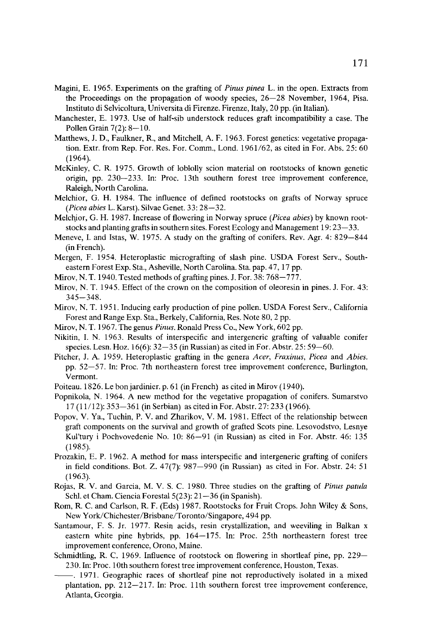- Magini, E. 1965. Experiments on the grafting of *Pinus pinea* L. in the open. Extracts from the Proceedings on the propagation of woody species,  $26-28$  November, 1964, Pisa. Instituto di Selvicoltura, Universita di Firenze. Firenze, Italy, 20 pp. (in Italian).
- Manchester, E. 1973. Use of half-sib understock reduces graft incompatibility a case. The Pollen Grain  $7(2)$ :  $8-10$ .
- Matthews, J. D., Faulkner, R., and Mitchell, A. F. 1963. Forest genetics: vegetative propagation. Extr. from Rep. For. Res. For. Comm., Lond. 1961/62, as cited in For. Abs. 25: 60  $(1964)$ .
- McKinley, C. R. 1975. Growth of loblolly scion material on rootstocks of known genetic origin, pp. 230–233. In: Proc. 13th southern forest tree improvement conference, Raleigh, North Carolina.
- Melchior, G. H. 1984. The influence of defined rootstocks on grafts of Norway spruce (Picea abies L. Karst). Silvae Genet. 33: 28-32.
- Melchior, G. H. 1987. Increase of flowering in Norway spruce (Picea abies) by known rootstocks and planting grafts in southern sites. Forest Ecology and Management 19:23–33.
- Meneve, I. and Istas, W. 1975. A study on the grafting of conifers. Rev. Agr. 4: 829–844 (in French).
- Mergen, F. 1954. Heteroplastic micrografting of slash pine. USDA Forest Serv., Southeastern Forest Exp. Sta., Asheville, North Carolina. Sta. pap. 47, 17 pp.
- Mirov, N. T. 1940. Tested methods of grafting pines. J. For. 38: 768-777.
- Mirov, N. T. 1945. Effect of the crown on the composition of oleoresin in pines. J. For. 43: 345-348.
- Mirov, N. T. 1951. Inducing early production of pine pollen. USDA Forest Serv., California Forest and Range Exp. Sta., Berkely, California, Res. Note 80, 2 pp.
- Mirov, N. T. 1967. The genus Pinus. Ronald Press Co., New York, 602 pp.
- Nikitin, I. N. 1963. Results of interspecific and intergeneric grafting of valuable conifer species. Lesn. Hoz.  $16(6)$ :  $32-35$  (in Russian) as cited in For. Abstr.  $25:59-60$ .
- Pitcher, J. A. 1959. Heteroplastic grafting in the genera Acer, Fraxinus, Picea and Abies. pp. 52-57 . In: Proc. 7th northeastern forest tree improvement conference, Burlington, Vermont.
- Poiteau. 1826. Le bon jardinier. p. 61 (in French) as cited in Mirov (1940).
- Popnikola, N. 1964. A new method for the vegetative propagation of conifers. Sumarstvo 17 (11/12): 353-361 (in Serbian) as cited in For. Abstr. 27: 233 (1966).
- Popov, V. Ya., Tuchin, P. V. and Zharikov, V. M. 1981. Effect of the relationship between graft components on the survival and growth of grafted Scots pine . Lesovodstvo, Lesnye Kul'tury i Pochvovedenie No. 10: 86–91 (in Russian) as cited in For. Abstr. 46: 135  $(1985)$ .
- Prozakin, E. P. 1962. A method for mass interspecific and intergeneric grafting of conifers in field conditions. Bot. Z. 47(7): 987-990 (in Russian) as cited in For. Abstr. 24: 51  $(1963)$ .
- Rojas, R. V. and Garcia, M. V. S. C. 1980. Three studies on the grafting of Pinus patula Schl. et Cham. Ciencia Forestal  $5(23)$ :  $21-36$  (in Spanish).
- Rom, R. C. and Carlson, R. F. (Eds) 1987. Rootstocks for Fruit Crops. John Wiley & Sons, New York/Chichester/Brisbane/Toronto/Singapore, 494 pp .
- Santamour, F. S. Jr. 1977. Resin acids, resin crystallization, and weeviling in Balkan x eastern white pine hybrids, pp. 164-175. In: Proc. 25th northeastern forest tree improvement conference, Orono, Maine.
- Schmidtling, R. C. 1969. Influence of rootstock on flowering in shortleaf pine, pp. 229-230 . In: Proc . 10th southern forest tree improvement conference, Houston, Texas .
- . 1971 . Geographic races of shortleaf pine not reproductively isolated in a mixed plantation, pp. 212-217. In: Proc. 11th southern forest tree improvement conference, Atlanta, Georgia.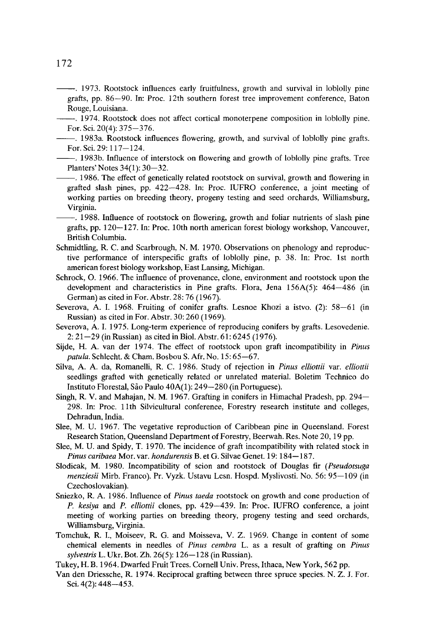- . <sup>1973</sup> . Rootstock influences early fruitfulness, growth and survival in loblolly pine grafts, pp. 86-90. In: Proc. 12th southern forest tree improvement conference, Baton Rouge, Louisiana.
	- 1974. Rootstock does not affect cortical monoterpene composition in loblolly pine. For. Sci. 20(4): 375-376.
- $\begin{array}{c|c}\n & 172 \\
 \hline\text{gr.} \\
 \hline\n \text{grr} \\
 \hline\n \text{Rc} \\
 \hline\n \text{Fc} \\
 \hline\n \text{Fc} \\
 \hline\n \text{m} \\
 \hline\n \end{array}$  $\begin{array}{r}\n172 \\
\hline \text{gr.} \\
\hline\n\text{Re}\n\end{array}$ -. 1983a. Rootstock influences flowering, growth, and survival of loblolly pine grafts. For. Sci. 29: 117-124.
	- $\frac{1}{2}$ . 1983b. Influence of interstock on flowering and growth of loblolly pine grafts. Tree Planters' Notes 34(1): 30-32.
- gram<br>
Record<br>
Form<br>
Form<br>
Pl:<br>
gram<br>
w.v. Reception<br>
Formulation<br>
Formulation<br>
Plan<br>
graps<br>
we<br>
Vi  $-$ . 1986. The effect of genetically related rootstock on survival, growth and flowering in grafted slash pines, pp. 422-428. In: Proc. IUFRO conference, a joint meeting of working parties on breeding theory, progeny testing and seed orchards, Williamsburg, Fc<br>
Pl:<br>
gr:<br>
www<br>
Vi<br>
gr:<br>
gr:<br>
Br<br>
Schm<br>
tiv Virginia.

. 1988. Influence of rootstock on flowering, growth and foliar nutrients of slash pine grafts, pp. 120-127. In: Proc. 10th north american forest biology workshop, Vancouver, British Columbia .

- Schmidtling, R. C. and Scarbrough, N. M. 1970. Observations on phenology and reproductive performance of interspecific grafts of loblolly pine, p. 38. In: Proc. 1st north american forest biology workshop, East Lansing, Michigan .
- Schrock, O. 1966. The influence of provenance, clone, environment and rootstock upon the development and characteristics in Pine grafts. Flora, Jena  $156A(5)$ :  $464-486$  (in German) as cited in For. Abstr. 28: 76 (1967).
- Severova, A. I. 1968. Fruiting of conifer grafts. Lesnoe Khozi a istvo. (2): 58-61 (in Russian) as cited in For . Abstr. 30: 260 (1969) .
- Severova, A. I. 1975. Long-term experience of reproducing conifers by grafts. Lesovedenie. 2: 21-29 (in Russian) as cited in Biol. Abstr. 61: 6245 (1976).
- Sijde, H. A. van der 1974. The effect of rootstock upon graft incompatibility in Pinus patula. Schlecht. & Cham. Bosbou S. Afr. No. 15:65-67.
- Silva, A. A. da, Romanelli, R. C. 1986. Study of rejection in Pinus elliottii var. elliottii seedlings grafted with genetically related or unrelated material. Boletim Technico do Instituto Florestal, São Paulo 40A(1): 249-280 (in Portuguese).
- Singh, R. V. and Mahajan, N. M. 1967. Grafting in conifers in Himachal Pradesh, pp. 294– 298 . In: Proc. 11th Silvicultural conference, Forestry research institute and colleges, Dehradun, India.
- Slee, M. U. 1967. The vegetative reproduction of Caribbean pine in Queensland. Forest Research Station, Queensland Department of Forestry, Beerwah. Res. Note 20, 19 pp.
- Slee, M. U. and Spidy, T. 1970. The incidence of graft incompatibility with related stock in Pinus caribaea Mor. var. hondurensis B. et G. Silvae Genet. 19: 184-187.
- Slodicak, M. 1980. Incompatibility of scion and rootstock of Douglas fir (Pseudotsuga menziesii Mirb. Franco). Pr. Vyzk. Ustavu Lesn. Hospd. Myslivosti. No. 56: 95–109 (in Czechoslovakian).
- Sniezko, R. A. 1986. Influence of *Pinus taeda* rootstock on growth and cone production of P. kesiya and P. elliottii clones, pp.  $429-439$ . In: Proc. IUFRO conference, a joint meeting of working parties on breeding theory, progeny testing and seed orchards, Williamsburg, Virginia.
- Tomchuk, R. I., Moiseev, R. G. and Moisseva, V. Z. 1969. Change in content of some chemical elements in needles of Pinus cembra L. as a result of grafting on Pinus sylvestris L. Ukr. Bot. Zh. 26(5): 126-128 (in Russian).
- Tukey, H. B. 1964. Dwarfed Fruit Trees. Cornell Univ. Press, Ithaca, New York, 562 pp.
- Van den Driessche, R. 1974 . Reciprocal grafting between three spruce species . N . Z. J. For . Sci. 4(2): 448-453.